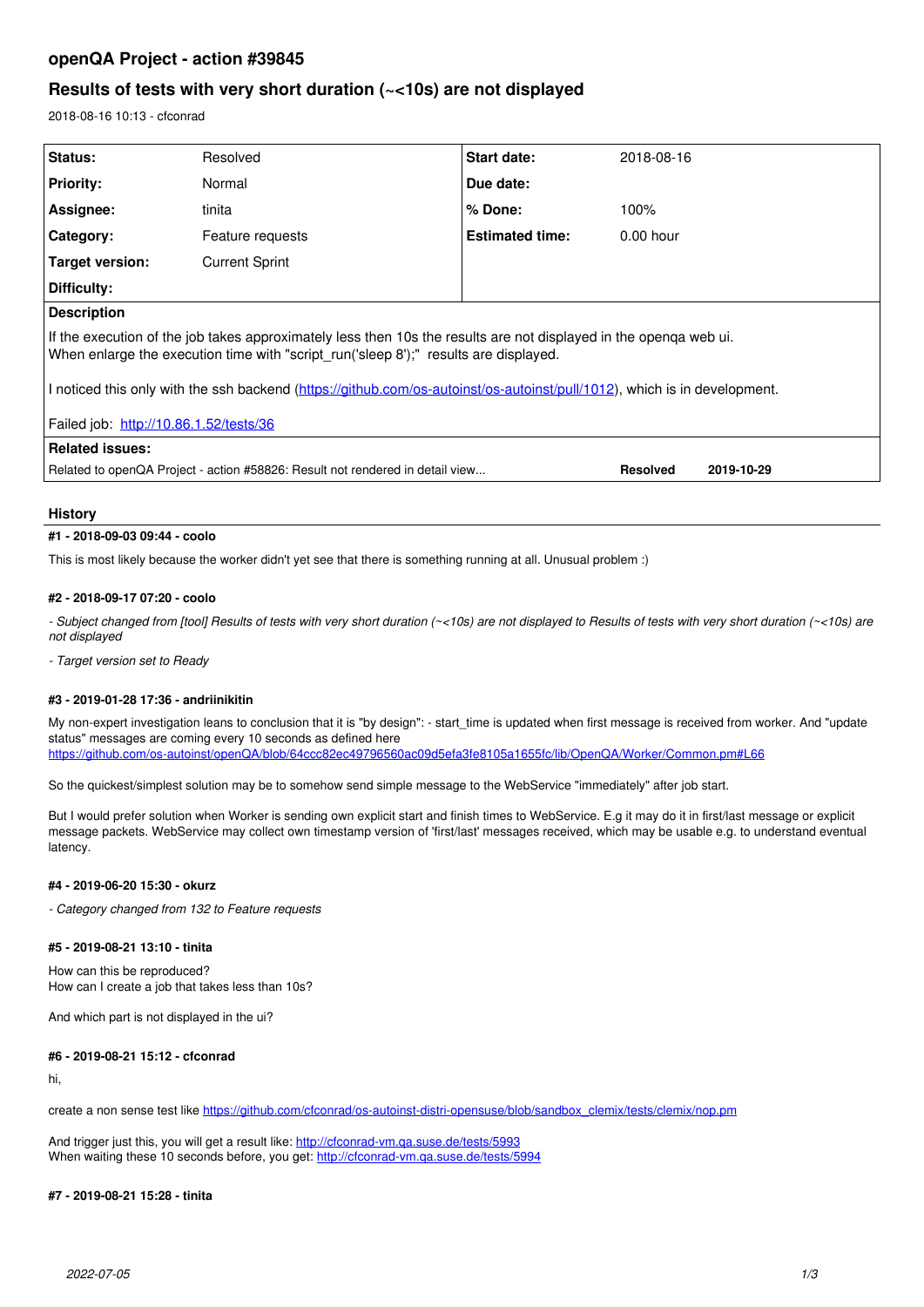# **openQA Project - action #39845**

# **Results of tests with very short duration (~<10s) are not displayed**

2018-08-16 10:13 - cfconrad

| Status:                                                                                                                                                                                                   | Resolved              | <b>Start date:</b>     | 2018-08-16  |            |
|-----------------------------------------------------------------------------------------------------------------------------------------------------------------------------------------------------------|-----------------------|------------------------|-------------|------------|
| <b>Priority:</b>                                                                                                                                                                                          | Normal                | Due date:              |             |            |
| Assignee:                                                                                                                                                                                                 | tinita                | % Done:                | 100%        |            |
| Category:                                                                                                                                                                                                 | Feature requests      | <b>Estimated time:</b> | $0.00$ hour |            |
| Target version:                                                                                                                                                                                           | <b>Current Sprint</b> |                        |             |            |
| Difficulty:                                                                                                                                                                                               |                       |                        |             |            |
| <b>Description</b>                                                                                                                                                                                        |                       |                        |             |            |
| If the execution of the job takes approximately less then 10s the results are not displayed in the openga web ui.<br>When enlarge the execution time with "script_run('sleep 8');" results are displayed. |                       |                        |             |            |
| I noticed this only with the ssh backend (https://github.com/os-autoinst/os-autoinst/pull/1012), which is in development.                                                                                 |                       |                        |             |            |
| Failed job: http://10.86.1.52/tests/36                                                                                                                                                                    |                       |                        |             |            |
| Related issues:                                                                                                                                                                                           |                       |                        |             |            |
| Related to openQA Project - action #58826: Result not rendered in detail view                                                                                                                             |                       |                        | Resolved    | 2019-10-29 |

# **History**

## **#1 - 2018-09-03 09:44 - coolo**

This is most likely because the worker didn't yet see that there is something running at all. Unusual problem :)

## **#2 - 2018-09-17 07:20 - coolo**

*- Subject changed from [tool] Results of tests with very short duration (~<10s) are not displayed to Results of tests with very short duration (~<10s) are not displayed*

*- Target version set to Ready*

## **#3 - 2019-01-28 17:36 - andriinikitin**

My non-expert investigation leans to conclusion that it is "by design": - start\_time is updated when first message is received from worker. And "update status" messages are coming every 10 seconds as defined here <https://github.com/os-autoinst/openQA/blob/64ccc82ec49796560ac09d5efa3fe8105a1655fc/lib/OpenQA/Worker/Common.pm#L66>

So the quickest/simplest solution may be to somehow send simple message to the WebService "immediately" after job start.

But I would prefer solution when Worker is sending own explicit start and finish times to WebService. E.g it may do it in first/last message or explicit message packets. WebService may collect own timestamp version of 'first/last' messages received, which may be usable e.g. to understand eventual latency.

## **#4 - 2019-06-20 15:30 - okurz**

*- Category changed from 132 to Feature requests*

# **#5 - 2019-08-21 13:10 - tinita**

How can this be reproduced? How can I create a job that takes less than 10s?

And which part is not displayed in the ui?

# **#6 - 2019-08-21 15:12 - cfconrad**

hi,

create a non sense test like [https://github.com/cfconrad/os-autoinst-distri-opensuse/blob/sandbox\\_clemix/tests/clemix/nop.pm](https://github.com/cfconrad/os-autoinst-distri-opensuse/blob/sandbox_clemix/tests/clemix/nop.pm)

And trigger just this, you will get a result like: <http://cfconrad-vm.qa.suse.de/tests/5993> When waiting these 10 seconds before, you get:<http://cfconrad-vm.qa.suse.de/tests/5994>

# **#7 - 2019-08-21 15:28 - tinita**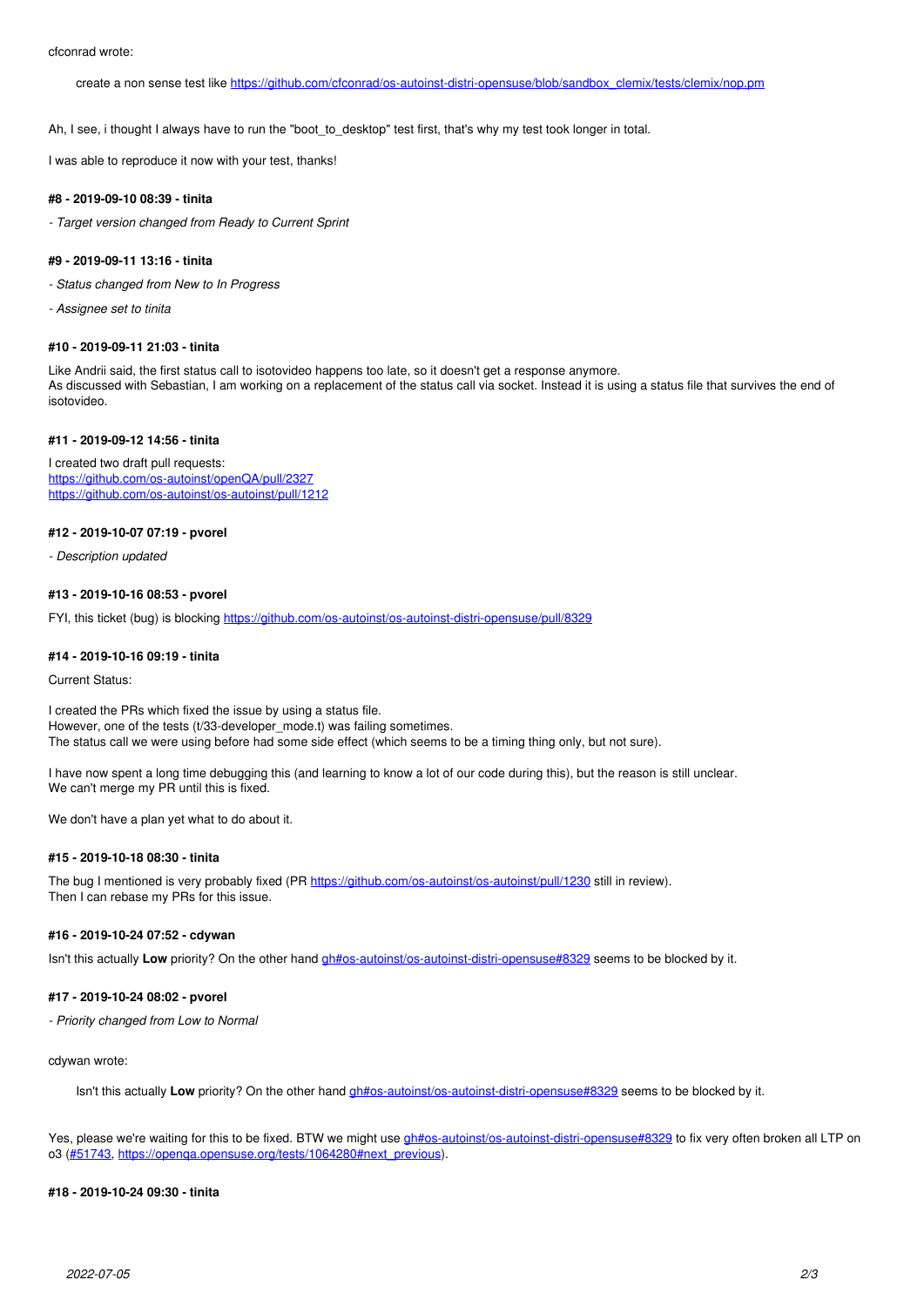create a non sense test like [https://github.com/cfconrad/os-autoinst-distri-opensuse/blob/sandbox\\_clemix/tests/clemix/nop.pm](https://github.com/cfconrad/os-autoinst-distri-opensuse/blob/sandbox_clemix/tests/clemix/nop.pm)

Ah, I see, i thought I always have to run the "boot to\_desktop" test first, that's why my test took longer in total.

I was able to reproduce it now with your test, thanks!

#### **#8 - 2019-09-10 08:39 - tinita**

*- Target version changed from Ready to Current Sprint*

# **#9 - 2019-09-11 13:16 - tinita**

*- Status changed from New to In Progress*

*- Assignee set to tinita*

#### **#10 - 2019-09-11 21:03 - tinita**

Like Andrii said, the first status call to isotovideo happens too late, so it doesn't get a response anymore. As discussed with Sebastian, I am working on a replacement of the status call via socket. Instead it is using a status file that survives the end of isotovideo.

# **#11 - 2019-09-12 14:56 - tinita**

I created two draft pull requests: <https://github.com/os-autoinst/openQA/pull/2327> <https://github.com/os-autoinst/os-autoinst/pull/1212>

# **#12 - 2019-10-07 07:19 - pvorel**

*- Description updated*

#### **#13 - 2019-10-16 08:53 - pvorel**

FYI, this ticket (bug) is blocking<https://github.com/os-autoinst/os-autoinst-distri-opensuse/pull/8329>

#### **#14 - 2019-10-16 09:19 - tinita**

Current Status:

I created the PRs which fixed the issue by using a status file. However, one of the tests (t/33-developer\_mode.t) was failing sometimes. The status call we were using before had some side effect (which seems to be a timing thing only, but not sure).

I have now spent a long time debugging this (and learning to know a lot of our code during this), but the reason is still unclear. We can't merge my PR until this is fixed.

We don't have a plan yet what to do about it.

### **#15 - 2019-10-18 08:30 - tinita**

The bug I mentioned is very probably fixed (PR<https://github.com/os-autoinst/os-autoinst/pull/1230>still in review). Then I can rebase my PRs for this issue.

### **#16 - 2019-10-24 07:52 - cdywan**

Isn't this actually Low priority? On the other hand *gh#os-autoinst/os-autoinst-distri-opensuse#8329* seems to be blocked by it.

# **#17 - 2019-10-24 08:02 - pvorel**

*- Priority changed from Low to Normal*

cdywan wrote:

Isn't this actually Low priority? On the other hand *gh#os-autoinst/os-autoinst-distri-opensuse#8329* seems to be blocked by it.

Yes, please we're waiting for this to be fixed. BTW we might use [gh#os-autoinst/os-autoinst-distri-opensuse#8329](https://github.com/os-autoinst/os-autoinst-distri-opensuse/pull/8329) to fix very often broken all LTP on o3 ([#51743,](https://progress.opensuse.org/issues/51743) [https://openqa.opensuse.org/tests/1064280#next\\_previous](https://openqa.opensuse.org/tests/1064280#next_previous)).

#### **#18 - 2019-10-24 09:30 - tinita**